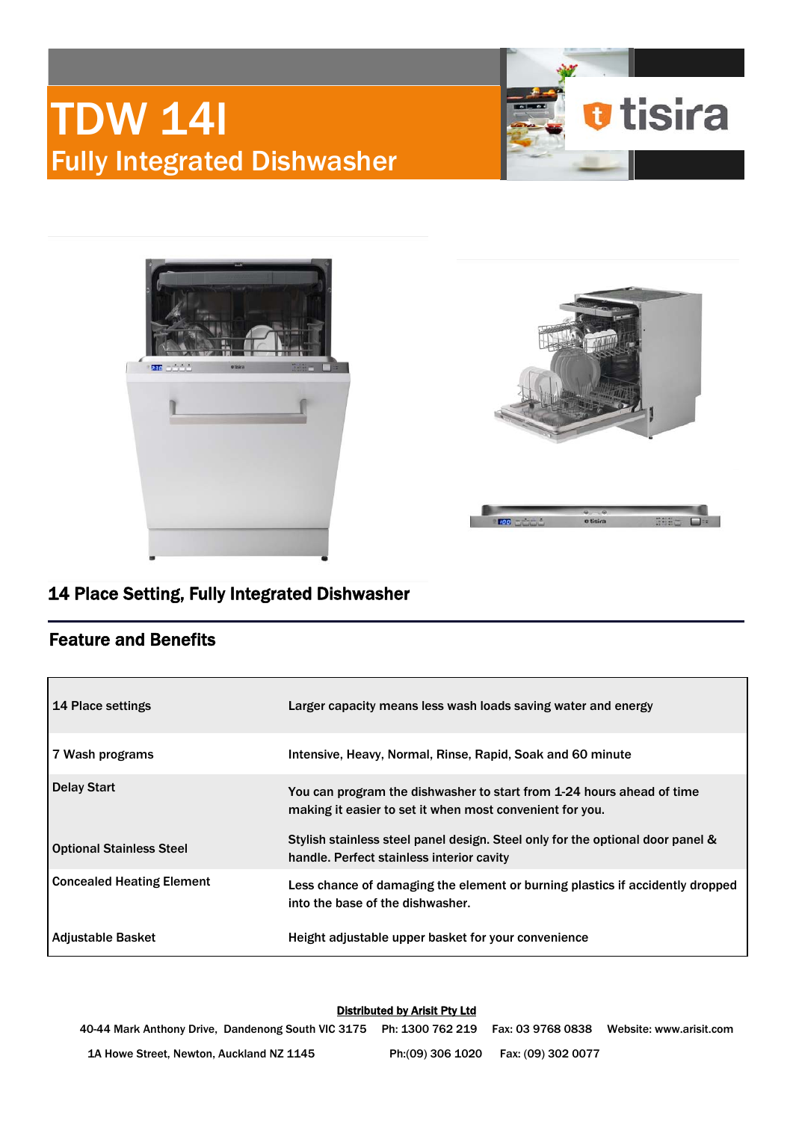# TDW 14I Fully Integrated Dishwasher







## 14 Place Setting, Fully Integrated Dishwasher

### Feature and Benefits

| <b>14 Place settings</b>         | Larger capacity means less wash loads saving water and energy                                                                     |
|----------------------------------|-----------------------------------------------------------------------------------------------------------------------------------|
| 7 Wash programs                  | Intensive, Heavy, Normal, Rinse, Rapid, Soak and 60 minute                                                                        |
| <b>Delay Start</b>               | You can program the dishwasher to start from 1-24 hours ahead of time<br>making it easier to set it when most convenient for you. |
| <b>Optional Stainless Steel</b>  | Stylish stainless steel panel design. Steel only for the optional door panel &<br>handle. Perfect stainless interior cavity       |
| <b>Concealed Heating Element</b> | Less chance of damaging the element or burning plastics if accidently dropped<br>into the base of the dishwasher.                 |
| Adjustable Basket                | Height adjustable upper basket for your convenience                                                                               |

#### Distributed by Arisit Pty Ltd

40-44 Mark Anthony Drive, Dandenong South VIC 3175 Ph: 1300 762 219 Fax: 03 9768 0838 Website: www.arisit.com 1A Howe Street, Newton, Auckland NZ 1145 Ph:(09) 306 1020 Fax: (09) 302 0077